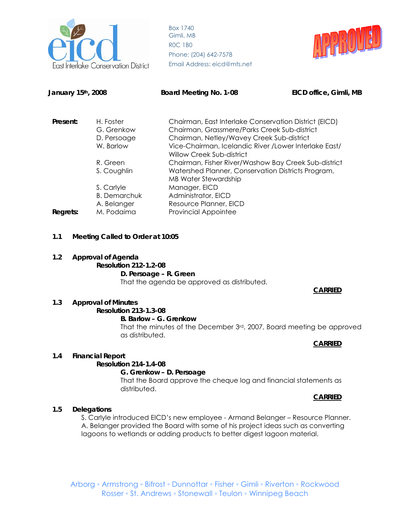

Box 1740 Gimli, MB R0C 1B0 Phone: (204) 642-7578 **Conservation District** Email Address: eicd@mts.net



# **January 15th, 2008 Board Meeting No. 1-08 EICD office, Gimli, MB Present:** H. Foster Chairman, East Interlake Conservation District (EICD) G. Grenkow Chairman, Grassmere/Parks Creek Sub-district D. Persoage Chairman, Netley/Wavey Creek Sub-district W. Barlow Vice-Chairman, Icelandic River /Lower Interlake East/ Willow Creek Sub-district R. Green Chairman, Fisher River/Washow Bay Creek Sub-district S. Coughlin Watershed Planner, Conservation Districts Program, MB Water Stewardship S. Carlyle Manager, EICD B. Demarchuk Administrator, EICD A. Belanger Resource Planner, EICD **Regrets:** M. Podaima Provincial Appointee

**1.1 Meeting Called to Order at 10:05** 

## **1.2 Approval of Agenda**

**Resolution 212-1.2-08 D. Persoage – R. Green**  That the agenda be approved as distributed.

## **CARRIED**

## **1.3 Approval of Minutes**

#### **Resolution 213-1.3-08 B. Barlow – G. Grenkow**

That the minutes of the December 3rd, 2007, Board meeting be approved as distributed.

#### **CARRIED**

## **1.4 Financial Report**

## **Resolution 214-1.4-08**

## **G. Grenkow – D. Persoage**

That the Board approve the cheque log and financial statements as distributed.

#### **CARRIED**

## **1.5 Delegations**

S. Carlyle introduced EICD's new employee - Armand Belanger – Resource Planner. A. Belanger provided the Board with some of his project ideas such as converting lagoons to wetlands or adding products to better digest lagoon material.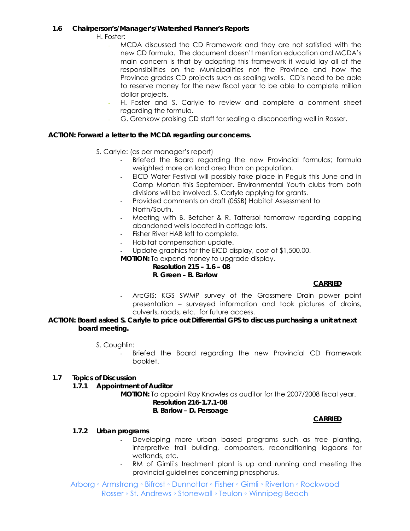## **1.6 Chairperson's/Manager's/Watershed Planner's Reports**

H. Foster:

- MCDA discussed the CD Framework and they are not satisfied with the new CD formula. The document doesn't mention education and MCDA's main concern is that by adopting this framework it would lay all of the responsibilities on the Municipalities not the Province and how the Province grades CD projects such as sealing wells. CD's need to be able to reserve money for the new fiscal year to be able to complete million dollar projects.
- H. Foster and S. Carlyle to review and complete a comment sheet regarding the formula.
- G. Grenkow praising CD staff for sealing a disconcerting well in Rosser.

## **ACTION: Forward a letter to the MCDA regarding our concerns.**

- S. Carlyle: (as per manager's report)
	- Briefed the Board regarding the new Provincial formulas; formula weighted more on land area than on population.
	- EICD Water Festival will possibly take place in Peguis this June and in Camp Morton this September. Environmental Youth clubs from both divisions will be involved. S. Carlyle applying for grants.
	- Provided comments on draft (05SB) Habitat Assessment to North/South.
	- Meeting with B. Betcher & R. Tattersol tomorrow regarding capping abandoned wells located in cottage lots.
	- Fisher River HAB left to complete.
	- Habitat compensation update.
	- Update graphics for the EICD display, cost of \$1,500.00.

**MOTION:** To expend money to upgrade display.

#### **Resolution 215 – 1.6 – 08 R. Green – B. Barlow**

## **CARRIED**

ArcGIS: KGS SWMP survey of the Grassmere Drain power point presentation – surveyed information and took pictures of drains, culverts, roads, etc. for future access.

## **ACTION: Board asked S. Carlyle to price out Differential GPS to discuss purchasing a unit at next board meeting.**

- S. Coughlin:
	- Briefed the Board regarding the new Provincial CD Framework booklet.

## **1.7 Topics of Discussion**

*1.7.1 Appointment of Auditor* 

 **MOTION:** To appoint Ray Knowles as auditor for the 2007/2008 fiscal year. **Resolution 216-1.7.1-08** 

## **B. Barlow – D. Persoage**

## **CARRIED**

## *1.7.2 Urban programs*

- Developing more urban based programs such as tree planting, interpretive trail building, composters, reconditioning lagoons for wetlands, etc.
- RM of Gimli's treatment plant is up and running and meeting the provincial guidelines concerning phosphorus.

Arborg ◦ Armstrong ◦ Bifrost ◦ Dunnottar ◦ Fisher ◦ Gimli ◦ Riverton ◦ Rockwood Rosser ◦ St. Andrews ◦ Stonewall ◦ Teulon ◦ Winnipeg Beach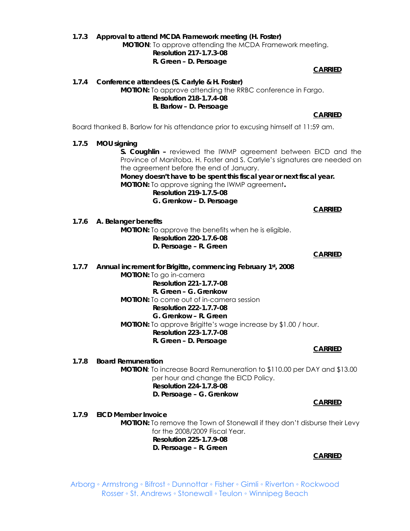#### *1.7.3 Approval to attend MCDA Framework meeting (H. Foster)* **MOTION**: To approve attending the MCDA Framework meeting. **Resolution 217-1.7.3-08 R. Green – D. Persoage**

**CARRIED**

*1.7.4 Conference attendees (S. Carlyle & H. Foster)*  **MOTION:** To approve attending the RRBC conference in Fargo. **Resolution 218-1.7.4-08 B. Barlow – D. Persoage CARRIED**

Board thanked B. Barlow for his attendance prior to excusing himself at 11:59 am.

#### *1.7.5 MOU signing*

**S. Coughlin –** reviewed the IWMP agreement between EICD and the Province of Manitoba. H. Foster and S. Carlyle's signatures are needed on the agreement before the end of January.

**Money doesn't have to be spent this fiscal year or next fiscal year. MOTION:** To approve signing the IWMP agreement**.** 

**Resolution 219-1.7.5-08 G. Grenkow – D. Persoage** 

**CARRIED**

## *1.7.6 A. Belanger benefits*

**MOTION:** To approve the benefits when he is eligible.  **Resolution 220-1.7.6-08 D. Persoage – R. Green** 

**CARRIED**

*1.7.7 Annual increment for Brigitte, commencing February 1st, 2008*  **MOTION:** To go in-camera **Resolution 221-1.7.7-08 R. Green – G. Grenkow MOTION:** To come out of in-camera session

## **Resolution 222-1.7.7-08**

**G. Grenkow – R. Green MOTION:** To approve Brigitte's wage increase by \$1.00 / hour.  **Resolution 223-1.7.7-08 R. Green – D. Persoage** 

**CARRIED**

*1.7.8 Board Remuneration*

 **MOTION**: To increase Board Remuneration to \$110.00 per DAY and \$13.00 per hour and change the EICD Policy. **Resolution 224-1.7.8-08 D. Persoage – G. Grenkow** 

**CARRIED**

*1.7.9 EICD Member Invoice* 

**MOTION:** To remove the Town of Stonewall if they don't disburse their Levy for the 2008/2009 Fiscal Year. **Resolution 225-1.7.9-08** 

**D. Persoage – R. Green** 

**CARRIED**

Arborg ◦ Armstrong ◦ Bifrost ◦ Dunnottar ◦ Fisher ◦ Gimli ◦ Riverton ◦ Rockwood Rosser ◦ St. Andrews ◦ Stonewall ◦ Teulon ◦ Winnipeg Beach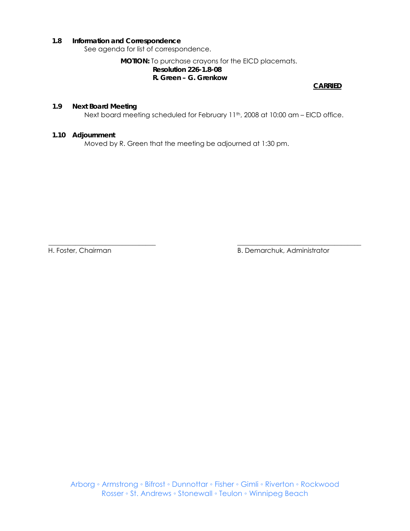#### **1.8 Information and Correspondence**

See agenda for list of correspondence.

## **MOTION:** To purchase crayons for the EICD placemats. **Resolution 226-1.8-08 R. Green – G. Grenkow**

**CARRIED**

## **1.9 Next Board Meeting**

Next board meeting scheduled for February 11<sup>th</sup>, 2008 at 10:00 am - EICD office.

\_\_\_\_\_\_\_\_\_\_\_\_\_\_\_\_\_\_\_\_\_\_\_\_\_\_\_\_\_\_\_\_ \_\_\_\_\_\_\_\_\_\_\_\_\_\_\_\_\_\_\_\_\_\_\_\_\_\_\_\_\_\_\_\_\_\_\_\_\_

#### **1.10 Adjournment**

Moved by R. Green that the meeting be adjourned at 1:30 pm.

H. Foster, Chairman B. Demarchuk, Administrator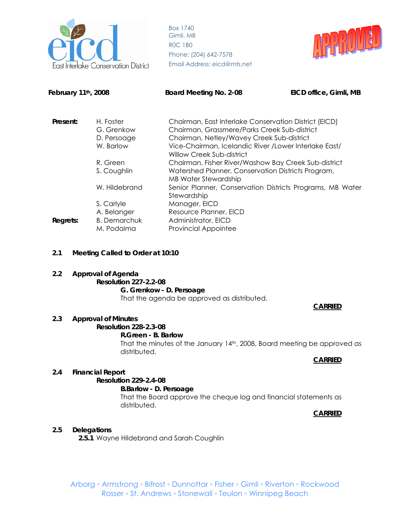



February 11<sup>th</sup>, 2008 **Board Meeting No. 2-08** EICD office, Gimli, MB

| Present: | H. Foster           | Chairman, East Interlake Conservation District (EICD)                               |
|----------|---------------------|-------------------------------------------------------------------------------------|
|          | G. Grenkow          | Chairman, Grassmere/Parks Creek Sub-district                                        |
|          | D. Persoage         | Chairman, Netley/Wavey Creek Sub-district                                           |
|          | W. Barlow           | Vice-Chairman, Icelandic River / Lower Interlake East/<br>Willow Creek Sub-district |
|          | R. Green            | Chairman, Fisher River/Washow Bay Creek Sub-district                                |
|          | S. Coughlin         | Watershed Planner, Conservation Districts Program,                                  |
|          |                     | <b>MB Water Stewardship</b>                                                         |
|          | W. Hildebrand       | Senior Planner, Conservation Districts Programs, MB Water                           |
|          |                     | Stewardship                                                                         |
|          | S. Carlyle          | Manager, EICD                                                                       |
|          | A. Belanger         | Resource Planner, EICD                                                              |
| Regrets: | <b>B.</b> Demarchuk | Administrator, EICD                                                                 |
|          | M. Podaima          | <b>Provincial Appointee</b>                                                         |

## **2.1 Meeting Called to Order at 10:10**

**2.2 Approval of Agenda Resolution 227-2.2-08 G. Grenkow - D. Persoage**  That the agenda be approved as distributed.

## **2.3 Approval of Minutes**

**Resolution 228-2.3-08** 

#### **R.Green - B. Barlow**

That the minutes of the January 14<sup>th</sup>, 2008, Board meeting be approved as distributed.

## **CARRIED**

**CARRIED**

## **2.4 Financial Report**

## **Resolution 229-2.4-08**

 **B.Barlow - D. Persoage** 

That the Board approve the cheque log and financial statements as distributed.

#### **CARRIED**

## **2.5 Delegations**

**2.5.1** Wayne Hildebrand and Sarah Coughlin

Arborg ◦ Armstrong ◦ Bifrost ◦ Dunnottar ◦ Fisher ◦ Gimli ◦ Riverton ◦ Rockwood Rosser ◦ St. Andrews ◦ Stonewall ◦ Teulon ◦ Winnipeg Beach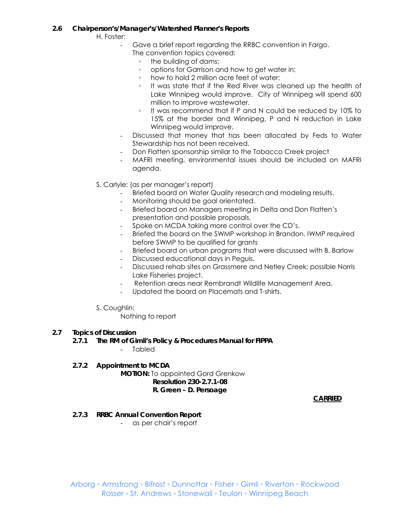## **2.6 Chairperson's/Manager's/Watershed Planner's Reports**

H. Foster:

- Gave a brief report regarding the RRBC convention in Fargo.
	- The convention topics covered:
		- the building of dams;
		- options for Garrison and how to get water in;<br>◦ how to hold 2 million acre feet of water;
		- how to hold 2 million acre feet of water;
		- It was state that if the Red River was cleaned up the health of Lake Winnipeg would improve. City of Winnipeg will spend 600 million to improve wastewater.
		- It was recommend that if P and N could be reduced by 10% to 15% at the border and Winnipeg, P and N reduction in Lake Winnipeg would improve.
	- Discussed that money that has been allocated by Feds to Water Stewardship has not been received.
	- Don Flatten sponsorship similar to the Tobacco Creek project
	- MAFRI meeting, environmental issues should be included on MAFRI agenda.
- S. Carlyle: (as per manager's report)
	- Briefed board on Water Quality research and modeling results.
	- Monitoring should be goal orientated.
	- Briefed board on Managers meeting in Delta and Don Flatten's presentation and possible proposals.
	- Spoke on MCDA taking more control over the CD's.
	- Briefed the board on the SWMP workshop in Brandon. IWMP required before SWMP to be qualified for grants
	- Briefed board on urban programs that were discussed with B. Barlow
	- Discussed educational days in Peguis.
	- Discussed rehab sites on Grassmere and Netley Creek; possible Norris Lake Fisheries project.
	- Retention areas near Rembrandt Wildlife Management Area.
	- Updated the board on Placemats and T-shirts.
- S. Coughlin:

Nothing to report

## **2.7 Topics of Discussion**

## *2.7.1 The RM of Gimli's Policy & Procedures Manual for FIPPA*

- Tabled
- *2.7.2 Appointment to MCDA*  **MOTION:** To appointed Gord Grenkow **Resolution 230-2.7.1-08 R. Green – D. Persoage**

**CARRIED**

*2.7.3 RRBC Annual Convention Report*

- as per chair's report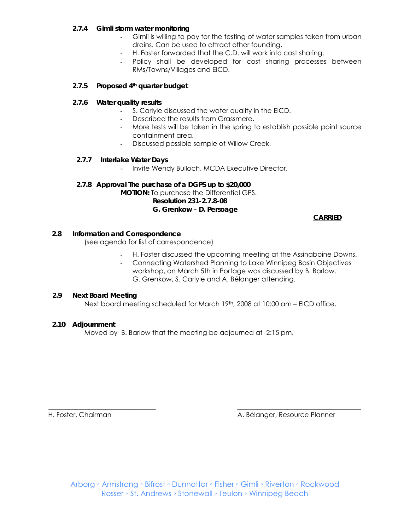## *2.7.4 Gimli storm water monitoring*

- Gimli is willing to pay for the testing of water samples taken from urban drains. Can be used to attract other founding.
- H. Foster forwarded that the C.D. will work into cost sharing.
- Policy shall be developed for cost sharing processes between RMs/Towns/Villages and EICD.

## *2.7.5 Proposed 4th quarter budget*

## *2.7.6 Water quality results*

- S. Carlyle discussed the water quality in the EICD.
- Described the results from Grassmere.
- More tests will be taken in the spring to establish possible point source containment area.
- Discussed possible sample of Willow Creek.

## *2.7.7 Interlake Water Days*

- Invite Wendy Bulloch, MCDA Executive Director.

## **2.7.8 Approval The purchase of a DGPS up to \$20,000**

**MOTION:** To purchase the Differential GPS.

 **Resolution 231-2.7.8-08**

## **G. Grenkow – D. Persoage**

 *CARRIED* 

## **2.8 Information and Correspondence**

(see agenda for list of correspondence)

- H. Foster discussed the upcoming meeting at the Assinaboine Downs.
- Connecting Watershed Planning to Lake Winnipeg Basin Objectives workshop, on March 5th in Portage was discussed by B. Barlow. G. Grenkow, S. Carlyle and A. Bélanger attending.

## **2.9 Next Board Meeting**

Next board meeting scheduled for March 19th, 2008 at 10:00 am – EICD office.

## **2.10 Adjournment**

Moved by B. Barlow that the meeting be adjourned at 2:15 pm.

\_\_\_\_\_\_\_\_\_\_\_\_\_\_\_\_\_\_\_\_\_\_\_\_\_\_\_\_\_\_\_\_ \_\_\_\_\_\_\_\_\_\_\_\_\_\_\_\_\_\_\_\_\_\_\_\_\_\_\_\_\_\_\_\_\_\_\_\_\_ H. Foster, Chairman A. Bélanger, Resource Planner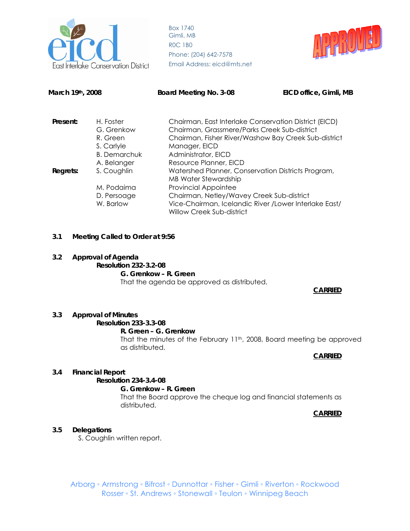



**March 19th, 2008 Board Meeting No. 3-08 EICD office, Gimli, MB** 

| Present: | H. Foster           | Chairman, East Interlake Conservation District (EICD)  |  |
|----------|---------------------|--------------------------------------------------------|--|
|          | G. Grenkow          | Chairman, Grassmere/Parks Creek Sub-district           |  |
|          | R. Green            | Chairman, Fisher River/Washow Bay Creek Sub-district   |  |
|          | S. Carlyle          | Manager, EICD                                          |  |
|          | <b>B.</b> Demarchuk | Administrator, EICD                                    |  |
|          | A. Belanger         | Resource Planner, EICD                                 |  |
| Regrets: | S. Coughlin         | Watershed Planner, Conservation Districts Program,     |  |
|          |                     | <b>MB Water Stewardship</b>                            |  |
|          | M. Podaima          | <b>Provincial Appointee</b>                            |  |
|          | D. Persoage         | Chairman, Netley/Wavey Creek Sub-district              |  |
|          | W. Barlow           | Vice-Chairman, Icelandic River / Lower Interlake East/ |  |
|          |                     | <b>Willow Creek Sub-district</b>                       |  |

## **3.1 Meeting Called to Order at 9:56**

#### **3.2 Approval of Agenda**

**Resolution 232-3.2-08 G. Grenkow – R. Green**  That the agenda be approved as distributed.

**CARRIED**

#### **3.3 Approval of Minutes**

## **Resolution 233-3.3-08**

#### **R. Green – G. Grenkow**

That the minutes of the February 11<sup>th</sup>, 2008, Board meeting be approved as distributed.

**CARRIED**

## **3.4 Financial Report**

## **Resolution 234-3.4-08**

 **G. Grenkow – R. Green** 

That the Board approve the cheque log and financial statements as distributed.

**CARRIED**

## **3.5 Delegations**

S. Coughlin written report.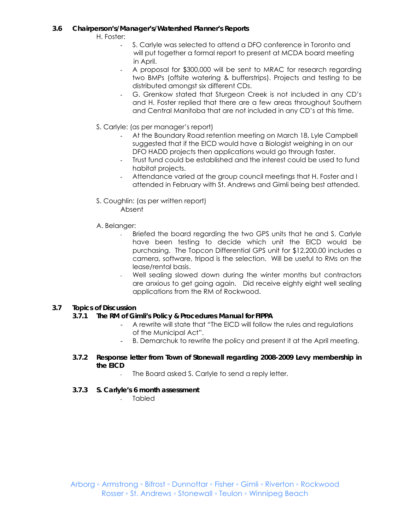## **3.6 Chairperson's/Manager's/Watershed Planner's Reports**

H. Foster:

- S. Carlyle was selected to attend a DFO conference in Toronto and will put together a formal report to present at MCDA board meeting in April.
- A proposal for \$300,000 will be sent to MRAC for research regarding two BMPs (offsite watering & bufferstrips). Projects and testing to be distributed amongst six different CDs.
- G. Grenkow stated that Sturgeon Creek is not included in any CD's and H. Foster replied that there are a few areas throughout Southern and Central Manitoba that are not included in any CD's at this time.
- S. Carlyle: (as per manager's report)
	- At the Boundary Road retention meeting on March 18, Lyle Campbell suggested that if the EICD would have a Biologist weighing in on our DFO HADD projects then applications would go through faster.
	- Trust fund could be established and the interest could be used to fund habitat projects.
	- Attendance varied at the group council meetings that H. Foster and I attended in February with St. Andrews and Gimli being best attended.
- S. Coughlin: (as per written report) Absent
- A. Belanger:
	- Briefed the board regarding the two GPS units that he and S. Carlyle have been testing to decide which unit the EICD would be purchasing. The Topcon Differential GPS unit for \$12,200.00 includes a camera, software, tripod is the selection. Will be useful to RMs on the lease/rental basis.
	- Well sealing slowed down during the winter months but contractors are anxious to get going again. Did receive eighty eight well sealing applications from the RM of Rockwood.

## **3.7 Topics of Discussion**

## *3.7.1 The RM of Gimli's Policy & Procedures Manual for FIPPA*

- A rewrite will state that "The EICD will follow the rules and regulations of the Municipal Act".
- B. Demarchuk to rewrite the policy and present it at the April meeting.
- *3.7.2 Response letter from Town of Stonewall regarding 2008-2009 Levy membership in the EICD* 
	- The Board asked S. Carlyle to send a reply letter.
- *3.7.3 S. Carlyle's 6 month assessment*
	- Tabled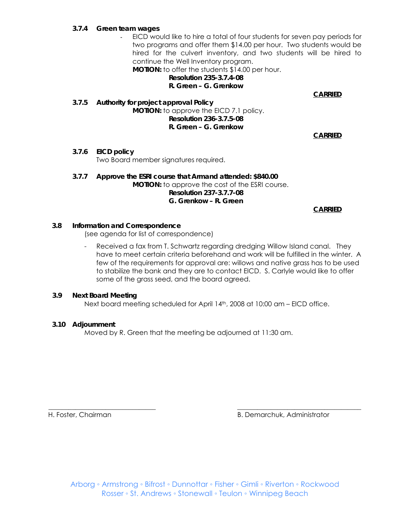#### *3.7.4 Green team wages*

- EICD would like to hire a total of four students for seven pay periods for two programs and offer them \$14.00 per hour. Two students would be hired for the culvert inventory, and two students will be hired to continue the Well Inventory program.

**MOTION:** to offer the students \$14.00 per hour.

#### **Resolution 235-3.7.4-08 R. Green – G. Grenkow**

**CARRIED**

*3.7.5 Authority for project approval Policy*  **MOTION:** to approve the EICD 7.1 policy. **Resolution 236-3.7.5-08 R. Green – G. Grenkow** 

**CARRIED**

*3.7.6 EICD policy*

Two Board member signatures required.

*3.7.7 Approve the ESRI course that Armand attended: \$840.00*  **MOTION:** to approve the cost of the ESRI course.  **Resolution 237-3.7.7-08 G. Grenkow – R. Green** 

**CARRIED**

#### **3.8 Information and Correspondence**

(see agenda for list of correspondence)

Received a fax from T. Schwartz regarding dredging Willow Island canal. They have to meet certain criteria beforehand and work will be fulfilled in the winter. A few of the requirements for approval are: willows and native grass has to be used to stabilize the bank and they are to contact EICD. S. Carlyle would like to offer some of the grass seed, and the board agreed.

#### **3.9 Next Board Meeting**

Next board meeting scheduled for April 14<sup>th</sup>, 2008 at 10:00 am – EICD office.

## **3.10 Adjournment**

Moved by R. Green that the meeting be adjourned at 11:30 am.

\_\_\_\_\_\_\_\_\_\_\_\_\_\_\_\_\_\_\_\_\_\_\_\_\_\_\_\_\_\_\_\_ \_\_\_\_\_\_\_\_\_\_\_\_\_\_\_\_\_\_\_\_\_\_\_\_\_\_\_\_\_\_\_\_\_\_\_\_\_ H. Foster, Chairman B. Demarchuk, Administrator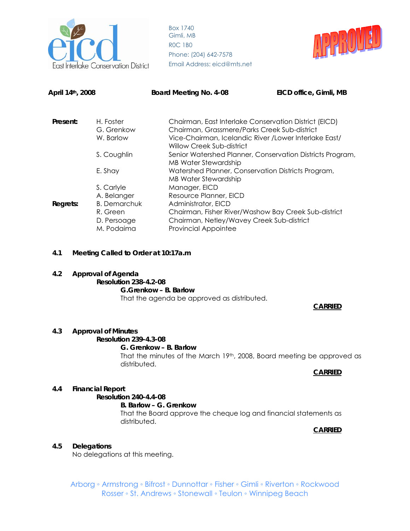



| April 14th, 2008 |                                                              | Board Meeting No. 4-08                                                                                                                                                                                                                                                                                                                                                              | EICD office, Gimli, MB |
|------------------|--------------------------------------------------------------|-------------------------------------------------------------------------------------------------------------------------------------------------------------------------------------------------------------------------------------------------------------------------------------------------------------------------------------------------------------------------------------|------------------------|
| Present:         | H. Foster<br>G. Grenkow<br>W. Barlow                         | Chairman, East Interlake Conservation District (EICD)<br>Chairman, Grassmere/Parks Creek Sub-district<br>Vice-Chairman, Icelandic River / Lower Interlake East/                                                                                                                                                                                                                     |                        |
|                  |                                                              | Willow Creek Sub-district                                                                                                                                                                                                                                                                                                                                                           |                        |
|                  | S. Coughlin                                                  | Senior Watershed Planner, Conservation Districts Program,<br><b>MB Water Stewardship</b><br>Watershed Planner, Conservation Districts Program,<br><b>MB Water Stewardship</b><br>Manager, EICD<br>Resource Planner, EICD<br>Administrator, EICD<br>Chairman, Fisher River/Washow Bay Creek Sub-district<br>Chairman, Netley/Wavey Creek Sub-district<br><b>Provincial Appointee</b> |                        |
|                  | E. Shay                                                      |                                                                                                                                                                                                                                                                                                                                                                                     |                        |
|                  | S. Carlyle                                                   |                                                                                                                                                                                                                                                                                                                                                                                     |                        |
|                  | A. Belanger                                                  |                                                                                                                                                                                                                                                                                                                                                                                     |                        |
| Regrets:         | <b>B.</b> Demarchuk<br>R. Green<br>D. Persoage<br>M. Podaima |                                                                                                                                                                                                                                                                                                                                                                                     |                        |

#### **4.1 Meeting Called to Order at 10:17a.m**

**4.2 Approval of Agenda Resolution 238-4.2-08 G.Grenkow – B. Barlow** That the agenda be approved as distributed.

#### **CARRIED**

#### **4.3 Approval of Minutes**

**Resolution 239-4.3-08** 

#### **G. Grenkow – B. Barlow**

That the minutes of the March 19th, 2008, Board meeting be approved as distributed.

#### **CARRIED**

#### **4.4 Financial Report**

 **Resolution 240-4.4-08** 

 **B. Barlow – G. Grenkow**  That the Board approve the cheque log and financial statements as distributed.

**CARRIED**

#### **4.5 Delegations**

No delegations at this meeting.

Arborg ◦ Armstrong ◦ Bifrost ◦ Dunnottar ◦ Fisher ◦ Gimli ◦ Riverton ◦ Rockwood Rosser ◦ St. Andrews ◦ Stonewall ◦ Teulon ◦ Winnipeg Beach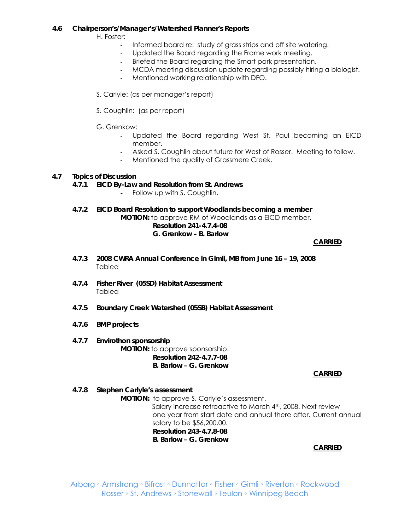#### **4.6 Chairperson's/Manager's/Watershed Planner's Reports**

H. Foster:

- Informed board re: study of grass strips and off site watering.
- Updated the Board regarding the Frame work meeting.
- Briefed the Board regarding the Smart park presentation.
- MCDA meeting discussion update regarding possibly hiring a biologist.
- Mentioned working relationship with DFO.
- S. Carlyle: (as per manager's report)
- S. Coughlin: (as per report)
- G. Grenkow:
	- Updated the Board regarding West St. Paul becoming an EICD member.
	- Asked S. Coughlin about future for West of Rosser. Meeting to follow.
	- Mentioned the quality of Grassmere Creek.

## **4.7 Topics of Discussion**

*4.7.1 EICD By-Law and Resolution from St. Andrews* 

- Follow up with S. Coughlin.
- *4.7.2 EICD Board Resolution to support Woodlands becoming a member*

 **MOTION:** to approve RM of Woodlands as a EICD member.  **Resolution 241-4.7.4-08 G. Grenkow – B. Barlow** 

**CARRIED**

- *4.7.3 2008 CWRA Annual Conference in Gimli, MB from June 16 19, 2008* Tabled
- *4.7.4 Fisher River (05SD) Habitat Assessment*  Tabled
- *4.7.5 Boundary Creek Watershed (05SB) Habitat Assessment*
- *4.7.6 BMP projects*
- *4.7.7 Envirothon sponsorship*   **MOTION:** to approve sponsorship. **Resolution 242-4.7.7-08 B. Barlow – G. Grenkow**

## **CARRIED**

*4.7.8 Stephen Carlyle's assessment* 

**MOTION:** to approve S. Carlyle's assessment.

Salary increase retroactive to March 4th, 2008. Next review one year from start date and annual there after. Current annual salary to be \$56,200.00. **Resolution 243-4.7.8-08 B. Barlow – G. Grenkow** 

**CARRIED**

Arborg ◦ Armstrong ◦ Bifrost ◦ Dunnottar ◦ Fisher ◦ Gimli ◦ Riverton ◦ Rockwood Rosser ◦ St. Andrews ◦ Stonewall ◦ Teulon ◦ Winnipeg Beach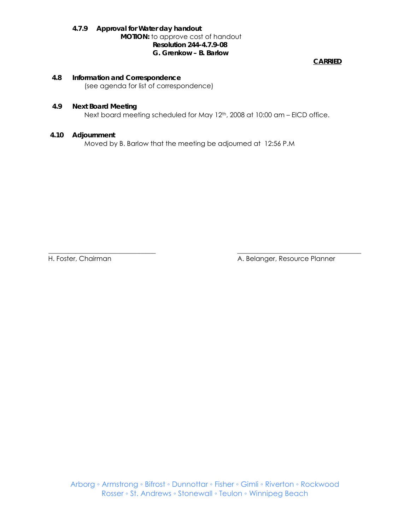#### *4.7.9 Approval for Water day handout*  **MOTION:** to approve cost of handout **Resolution 244-4.7.9-08 G. Grenkow – B. Barlow**

**CARRIED**

#### **4.8 Information and Correspondence**

(see agenda for list of correspondence)

#### **4.9 Next Board Meeting**

Next board meeting scheduled for May 12<sup>th</sup>, 2008 at 10:00 am - EICD office.

#### **4.10 Adjournment**

Moved by B. Barlow that the meeting be adjourned at 12:56 P.M

\_\_\_\_\_\_\_\_\_\_\_\_\_\_\_\_\_\_\_\_\_\_\_\_\_\_\_\_\_\_\_\_ \_\_\_\_\_\_\_\_\_\_\_\_\_\_\_\_\_\_\_\_\_\_\_\_\_\_\_\_\_\_\_\_\_\_\_\_\_ H. Foster, Chairman A. Belanger, Resource Planner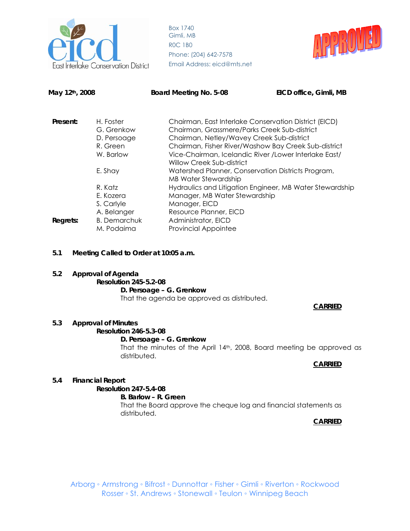



| May 12th, 2008 |                                                                                        | Board Meeting No. 5-08                                                                                                                                                                                                                                                                                                                                                                                                                                                                                                                                                               | EICD office, Gimli, MB |
|----------------|----------------------------------------------------------------------------------------|--------------------------------------------------------------------------------------------------------------------------------------------------------------------------------------------------------------------------------------------------------------------------------------------------------------------------------------------------------------------------------------------------------------------------------------------------------------------------------------------------------------------------------------------------------------------------------------|------------------------|
| Present:       | H. Foster<br>G. Grenkow<br>D. Persoage<br>R. Green<br>W. Barlow                        | Chairman, East Interlake Conservation District (EICD)<br>Chairman, Grassmere/Parks Creek Sub-district<br>Chairman, Netley/Wavey Creek Sub-district<br>Chairman, Fisher River/Washow Bay Creek Sub-district<br>Vice-Chairman, Icelandic River / Lower Interlake East/<br>Willow Creek Sub-district<br>Watershed Planner, Conservation Districts Program,<br><b>MB Water Stewardship</b><br>Hydraulics and Litigation Engineer, MB Water Stewardship<br>Manager, MB Water Stewardship<br>Manager, EICD<br>Resource Planner, EICD<br>Administrator, EICD<br><b>Provincial Appointee</b> |                        |
|                | E. Shay                                                                                |                                                                                                                                                                                                                                                                                                                                                                                                                                                                                                                                                                                      |                        |
| Regrets:       | R. Katz<br>E. Kozera<br>S. Carlyle<br>A. Belanger<br><b>B.</b> Demarchuk<br>M. Podaima |                                                                                                                                                                                                                                                                                                                                                                                                                                                                                                                                                                                      |                        |

- **5.1 Meeting Called to Order at 10:05 a.m.**
- **5.2 Approval of Agenda Resolution 245-5.2-08 D. Persoage – G. Grenkow** That the agenda be approved as distributed.

#### **CARRIED**

## **5.3 Approval of Minutes**

**Resolution 246-5.3-08** 

#### **D. Persoage – G. Grenkow**

That the minutes of the April 14th, 2008, Board meeting be approved as distributed.

#### **CARRIED**

## **5.4 Financial Report**

 **Resolution 247-5.4-08** 

## **B. Barlow – R. Green**

That the Board approve the cheque log and financial statements as distributed.

**CARRIED**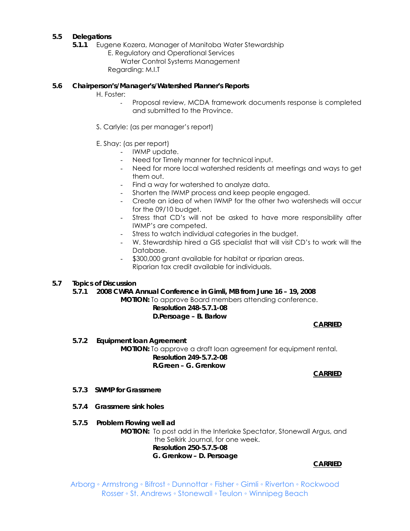## **5.5 Delegations**

- *5.1.1* Eugene Kozera, Manager of Manitoba Water Stewardship
	- E. Regulatory and Operational Services Water Control Systems Management Regarding: M.I.T

#### **5.6 Chairperson's/Manager's/Watershed Planner's Reports**

H. Foster:

- Proposal review, MCDA framework documents response is completed and submitted to the Province.
- S. Carlyle: (as per manager's report)
- E. Shay: (as per report)
	- IWMP update.
		- Need for Timely manner for technical input.
	- Need for more local watershed residents at meetings and ways to get them out.
	- Find a way for watershed to analyze data.
	- Shorten the IWMP process and keep people engaged.
	- Create an idea of when IWMP for the other two watersheds will occur for the 09/10 budget.
	- Stress that CD's will not be asked to have more responsibility after IWMP's are competed.
	- Stress to watch individual categories in the budget.
	- W. Stewardship hired a GIS specialist that will visit CD's to work will the Database.
	- \$300,000 grant available for habitat or riparian areas. Riparian tax credit available for individuals.

## **5.7 Topics of Discussion**

*5.7.1 2008 CWRA Annual Conference in Gimli, MB from June 16 – 19, 2008*  **MOTION:** To approve Board members attending conference.

#### **Resolution 248-5.7.1-08 D.Persoage – B. Barlow**

**CARRIED**

 *5.7.2 Equipment loan Agreement*  **MOTION:** To approve a draft loan agreement for equipment rental. **Resolution 249-5.7.2-08 R.Green – G. Grenkow** 

**CARRIED**

- *5.7.3 SWMP for Grassmere*
- *5.7.4 Grassmere sink holes*
- *5.7.5 Problem Flowing well ad*

**MOTION:** To post add in the Interlake Spectator, Stonewall Argus, and the Selkirk Journal, for one week. **Resolution 250-5.7.5-08 G. Grenkow – D. Persoage** 

#### **CARRIED**

Arborg ◦ Armstrong ◦ Bifrost ◦ Dunnottar ◦ Fisher ◦ Gimli ◦ Riverton ◦ Rockwood Rosser ◦ St. Andrews ◦ Stonewall ◦ Teulon ◦ Winnipeg Beach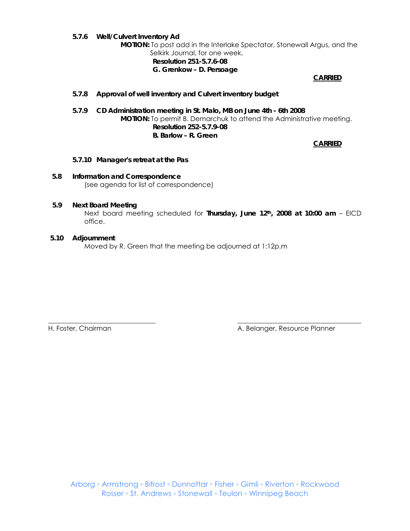*5.7.6 Well/Culvert Inventory Ad* 

**MOTION:** To post add in the Interlake Spectator, Stonewall Argus, and the

 Selkirk Journal, for one week. **Resolution 251-5.7.6-08 G. Grenkow – D. Persoage** 

**CARRIED**

## *5.7.8 Approval of well inventory and Culvert inventory budget*

*5.7.9 CD Administration meeting in St. Malo, MB on June 4th - 6th 2008*  **MOTION:** To permit B. Demarchuk to attend the Administrative meeting. **Resolution 252-5.7.9-08 B. Barlow – R. Green** 

**CARRIED**

- *5.7.10 Manager's retreat at the Pas*
- **5.8 Information and Correspondence**  (see agenda for list of correspondence)

#### **5.9 Next Board Meeting**

 Next board meeting scheduled for **Thursday, June 12th, 2008 at 10:00 am** – EICD office.

#### **5.10 Adjournment**

Moved by R. Green that the meeting be adjourned at 1:12p.m

\_\_\_\_\_\_\_\_\_\_\_\_\_\_\_\_\_\_\_\_\_\_\_\_\_\_\_\_\_\_\_\_ \_\_\_\_\_\_\_\_\_\_\_\_\_\_\_\_\_\_\_\_\_\_\_\_\_\_\_\_\_\_\_\_\_\_\_\_\_ H. Foster, Chairman A. Belanger, Resource Planner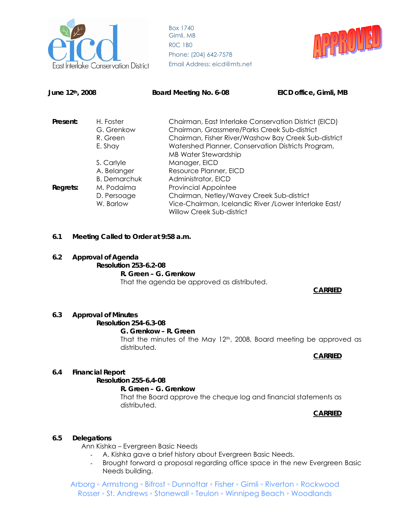



| June 12 <sup>th</sup> , 2008 |                                                                                            | Board Meeting No. 6-08                                                                                                                                                                                                                                                  | EICD office, Gimli, MB |
|------------------------------|--------------------------------------------------------------------------------------------|-------------------------------------------------------------------------------------------------------------------------------------------------------------------------------------------------------------------------------------------------------------------------|------------------------|
| Present:                     | H. Foster<br>G. Grenkow<br>R. Green<br>E. Shay                                             | Chairman, East Interlake Conservation District (EICD)<br>Chairman, Grassmere/Parks Creek Sub-district<br>Chairman, Fisher River/Washow Bay Creek Sub-district<br>Watershed Planner, Conservation Districts Program,                                                     |                        |
| Regrets:                     | S. Carlyle<br>A. Belanger<br><b>B.</b> Demarchuk<br>M. Podaima<br>D. Persoage<br>W. Barlow | <b>MB Water Stewardship</b><br>Manager, EICD<br>Resource Planner, EICD<br>Administrator, EICD<br><b>Provincial Appointee</b><br>Chairman, Netley/Wavey Creek Sub-district<br>Vice-Chairman, Icelandic River / Lower Interlake East/<br><b>Willow Creek Sub-district</b> |                        |

- **6.1 Meeting Called to Order at 9:58 a.m.**
- **6.2 Approval of Agenda**

**Resolution 253-6.2-08 R. Green – G. Grenkow** That the agenda be approved as distributed.

**CARRIED**

## **6.3 Approval of Minutes**

#### **Resolution 254-6.3-08**

#### **G. Grenkow – R. Green**

That the minutes of the May  $12<sup>th</sup>$ , 2008, Board meeting be approved as distributed.

**CARRIED**

## **6.4 Financial Report**

## **Resolution 255-6.4-08**

**R. Green – G. Grenkow** That the Board approve the cheque log and financial statements as distributed.

## **CARRIED**

## **6.5 Delegations**

Ann Kishka – Evergreen Basic Needs

- A. Kishka gave a brief history about Evergreen Basic Needs.
- Brought forward a proposal regarding office space in the new Evergreen Basic Needs building.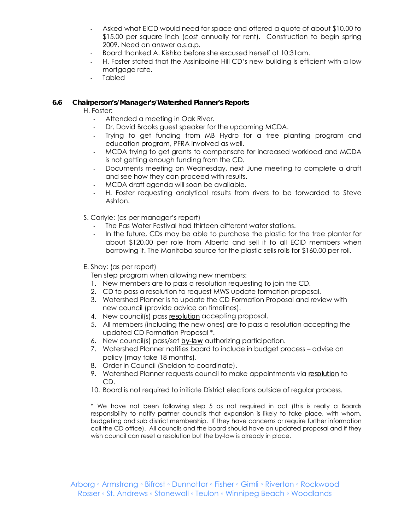- Asked what EICD would need for space and offered a quote of about \$10.00 to \$15.00 per square inch (cost annually for rent). Construction to begin spring 2009. Need an answer a.s.a.p.
- Board thanked A. Kishka before she excused herself at 10:31am.
- H. Foster stated that the Assiniboine Hill CD's new building is efficient with a low mortgage rate.
- **Tabled**

## **6.6 Chairperson's/Manager's/Watershed Planner's Reports**

H. Foster:

- Attended a meeting in Oak River.
- Dr. David Brooks guest speaker for the upcoming MCDA.
- Trying to get funding from MB Hydro for a tree planting program and education program, PFRA involved as well.
- MCDA trying to get grants to compensate for increased workload and MCDA is not getting enough funding from the CD.
- Documents meeting on Wednesday, next June meeting to complete a draft and see how they can proceed with results.
- MCDA draft agenda will soon be available.
- H. Foster requesting analytical results from rivers to be forwarded to Steve Ashton.

S. Carlyle: (as per manager's report)

- The Pas Water Festival had thirteen different water stations.
- In the future, CDs may be able to purchase the plastic for the tree planter for about \$120.00 per role from Alberta and sell it to all ECID members when borrowing it. The Manitoba source for the plastic sells rolls for \$160.00 per roll.
- E. Shay: (as per report)
	- Ten step program when allowing new members:
	- 1. New members are to pass a resolution requesting to join the CD.
	- 2. CD to pass a resolution to request MWS update formation proposal.
	- 3. Watershed Planner is to update the CD Formation Proposal and review with new council (provide advice on timelines).
	- 4. New council(s) pass *resolution* accepting proposal.
	- 5. All members (including the new ones) are to pass a resolution accepting the updated CD Formation Proposal \*.
	- 6. New council(s) pass/set *by-law* authorizing participation.
	- 7. Watershed Planner notifies board to include in budget process advise on policy (may take 18 months).
	- 8. Order in Council (Sheldon to coordinate).
	- 9. Watershed Planner requests council to make appointments via *resolution* to CD.
	- 10. Board is not required to initiate District elections outside of regular process.

\* We have not been following step 5 as not required in act (this is really a Boards responsibility to notify partner councils that expansion is likely to take place, with whom, budgeting and sub district membership. If they have concerns or require further information call the CD office). All councils and the board should have an updated proposal and if they wish council can reset a resolution but the by-law is already in place.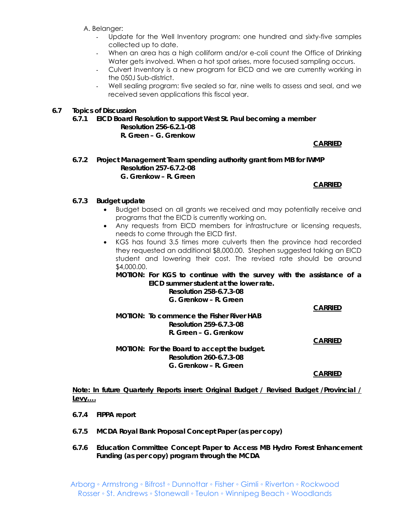- A. Belanger:
	- Update for the Well Inventory program: one hundred and sixty-five samples collected up to date.
	- When an area has a high colliform and/or e-coli count the Office of Drinking Water gets involved. When a hot spot arises, more focused sampling occurs.
	- Culvert Inventory is a new program for EICD and we are currently working in the 050J Sub-district.
	- Well sealing program: five sealed so far, nine wells to assess and seal, and we received seven applications this fiscal year.

## **6.7 Topics of Discussion**

*6.7.1 EICD Board Resolution to support West St. Paul becoming a member*  **Resolution 256-6.2.1-08** 

**R. Green – G. Grenkow** 

**CARRIED**

#### **6.7.2 Project Management Team spending authority grant from MB for IWMP Resolution 257-6.7.2-08 G. Grenkow – R. Green**

#### **CARRIED**

## **6.7.3 Budget update**

- Budget based on all grants we received and may potentially receive and programs that the EICD is currently working on.
- Any requests from EICD members for infrastructure or licensing requests, needs to come through the EICD first.
- KGS has found 3.5 times more culverts then the province had recorded they requested an additional \$8,000.00. Stephen suggested taking an EICD student and lowering their cost. The revised rate should be around \$4,000.00.

**MOTION: For KGS to continue with the survey with the assistance of a EICD summer student at the lower rate.** 

> **Resolution 258-6.7.3-08 G. Grenkow – R. Green**

## **CARRIED**

**MOTION: To commence the Fisher River HAB Resolution 259-6.7.3-08 R. Green – G. Grenkow** 

**CARRIED**

**MOTION: For the Board to accept the budget. Resolution 260-6.7.3-08 G. Grenkow – R. Green** 

**CARRIED**

**Note: In future Quarterly Reports insert: Original Budget / Revised Budget /Provincial / Levy….**

- **6.7.4 FIPPA report**
- **6.7.5 MCDA Royal Bank Proposal Concept Paper (as per copy)**
- **6.7.6 Education Committee Concept Paper to Access MB Hydro Forest Enhancement Funding (as per copy) program through the MCDA**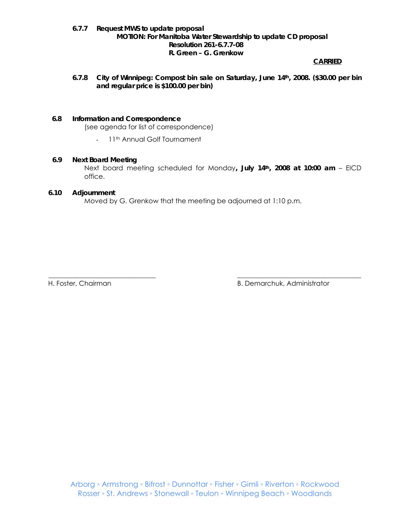## **6.7.7 Request MWS to update proposal MOTION: For Manitoba Water Stewardship to update CD proposal Resolution 261-6.7.7-08 R. Green – G. Grenkow**

#### **CARRIED**

**6.7.8 City of Winnipeg: Compost bin sale on Saturday, June 14th, 2008. (\$30.00 per bin and regular price is \$100.00 per bin)** 

#### **6.8 Information and Correspondence**

(see agenda for list of correspondence)

- 11<sup>th</sup> Annual Golf Tournament

#### **6.9 Next Board Meeting**

 Next board meeting scheduled for Monday**, July 14th, 2008 at 10:00 am** – EICD office.

## **6.10 Adjournment**

Moved by G. Grenkow that the meeting be adjourned at 1:10 p.m.

\_\_\_\_\_\_\_\_\_\_\_\_\_\_\_\_\_\_\_\_\_\_\_\_\_\_\_\_\_\_\_\_ \_\_\_\_\_\_\_\_\_\_\_\_\_\_\_\_\_\_\_\_\_\_\_\_\_\_\_\_\_\_\_\_\_\_\_\_\_

H. Foster, Chairman B. Demarchuk, Administrator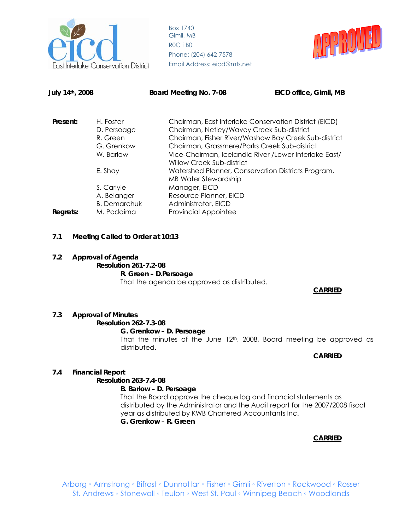



| EICD office, Gimli, MB                                 |
|--------------------------------------------------------|
|                                                        |
| Chairman, East Interlake Conservation District (EICD)  |
| Chairman, Netley/Wavey Creek Sub-district              |
| Chairman, Fisher River/Washow Bay Creek Sub-district   |
| Chairman, Grassmere/Parks Creek Sub-district           |
| Vice-Chairman, Icelandic River / Lower Interlake East/ |
|                                                        |
| Watershed Planner, Conservation Districts Program,     |
|                                                        |
|                                                        |
|                                                        |
|                                                        |
|                                                        |
|                                                        |

**7.1 Meeting Called to Order at 10:13** 

## **7.2 Approval of Agenda**

**Resolution 261-7.2-08 R. Green – D.Persoage** That the agenda be approved as distributed.

**CARRIED**

## **7.3 Approval of Minutes**

**Resolution 262-7.3-08** 

#### **G. Grenkow – D. Persoage**

That the minutes of the June 12<sup>th</sup>, 2008, Board meeting be approved as distributed.

## **CARRIED**

## **7.4 Financial Report**

## **Resolution 263-7.4-08**

 **B. Barlow – D. Persoage** 

That the Board approve the cheque log and financial statements as distributed by the Administrator and the Audit report for the 2007/2008 fiscal year as distributed by KWB Chartered Accountants Inc. **G. Grenkow – R. Green** 

## **CARRIED**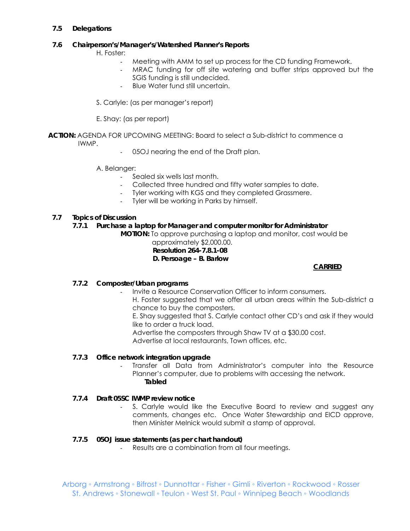## **7.5 Delegations**

## **7.6 Chairperson's/Manager's/Watershed Planner's Reports**

H. Foster:

- Meeting with AMM to set up process for the CD funding Framework.
- MRAC funding for off site watering and buffer strips approved but the SGIS funding is still undecided.
- Blue Water fund still uncertain.
- S. Carlyle: (as per manager's report)
- E. Shay: (as per report)
- **ACTION:** AGENDA FOR UPCOMING MEETING: Board to select a Sub-district to commence a IWMP.
	- 05OJ nearing the end of the Draft plan.
	- A. Belanger:
		- Sealed six wells last month.
		- Collected three hundred and fifty water samples to date.
		- Tyler working with KGS and they completed Grassmere.
		- Tyler will be working in Parks by himself.

## **7.7 Topics of Discussion**

## *7.7.1 Purchase a laptop for Manager and computer monitor for Administrator*

**MOTION:** To approve purchasing a laptop and monitor, cost would be

 approximately \$2,000.00.  **Resolution 264-7.8.1-08 D. Persoage – B. Barlow** 

## **CARRIED**

## *7.7.2 Composter/Urban programs*

- Invite a Resource Conservation Officer to inform consumers.

H. Foster suggested that we offer all urban areas within the Sub-district a chance to buy the composters.

E. Shay suggested that S. Carlyle contact other CD's and ask if they would like to order a truck load.

Advertise the composters through Shaw TV at a \$30.00 cost.

Advertise at local restaurants, Town offices, etc.

## *7.7.3 Office network integration upgrade*

- Transfer all Data from Administrator's computer into the Resource Planner's computer, due to problems with accessing the network. **Tabled** 

## *7.7.4 Draft 05SC IWMP review notice*

S. Carlyle would like the Executive Board to review and suggest any comments, changes etc. Once Water Stewardship and EICD approve, then Minister Melnick would submit a stamp of approval.

## *7.7.5 05OJ issue statements (as per chart handout)*

- Results are a combination from all four meetings.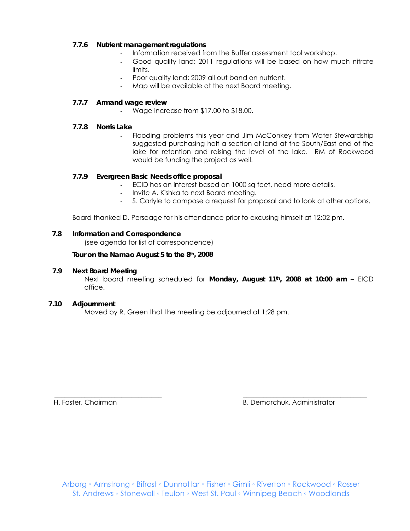## *7.7.6 Nutrient management regulations*

- Information received from the Buffer assessment tool workshop.
- Good quality land: 2011 regulations will be based on how much nitrate limits.
- Poor quality land: 2009 all out band on nutrient.
- Map will be available at the next Board meeting.

## *7.7.7 Armand wage review*

- Wage increase from \$17.00 to \$18.00.

## *7.7.8 Norris Lake*

Flooding problems this year and Jim McConkey from Water Stewardship suggested purchasing half a section of land at the South/East end of the lake for retention and raising the level of the lake. RM of Rockwood would be funding the project as well.

## *7.7.9 Evergreen Basic Needs office proposal*

- ECID has an interest based on 1000 sq feet, need more details.
- Invite A. Kishka to next Board meeting.
- S. Carlyle to compose a request for proposal and to look at other options.

Board thanked D. Persoage for his attendance prior to excusing himself at 12:02 pm.

## **7.8 Information and Correspondence**

(see agenda for list of correspondence)

 **Tour on the Namao August 5 to the 8th, 2008** 

## **7.9 Next Board Meeting**

 Next board meeting scheduled for **Monday, August 11th, 2008 at 10:00 am** – EICD office.

## **7.10 Adjournment**

Moved by R. Green that the meeting be adjourned at 1:28 pm.

H. Foster, Chairman B. Demarchuk, Administrator

\_\_\_\_\_\_\_\_\_\_\_\_\_\_\_\_\_\_\_\_\_\_\_\_\_\_\_\_\_\_\_\_ \_\_\_\_\_\_\_\_\_\_\_\_\_\_\_\_\_\_\_\_\_\_\_\_\_\_\_\_\_\_\_\_\_\_\_\_\_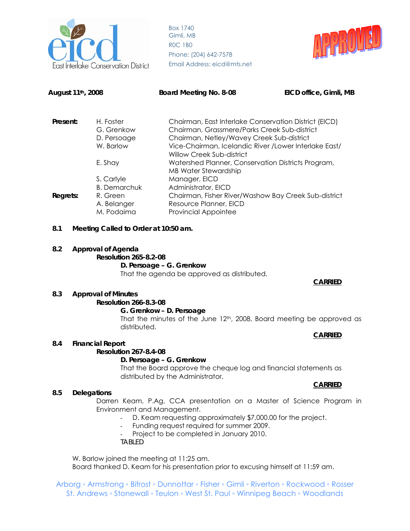



| August 11 <sup>th</sup> , 2008                                  |                                                                            | Board Meeting No. 8-08                                                                                                                                                                                                                    | EICD office, Gimli, MB |
|-----------------------------------------------------------------|----------------------------------------------------------------------------|-------------------------------------------------------------------------------------------------------------------------------------------------------------------------------------------------------------------------------------------|------------------------|
| Present:<br>H. Foster<br>G. Grenkow<br>D. Persoage<br>W. Barlow |                                                                            | Chairman, East Interlake Conservation District (EICD)<br>Chairman, Grassmere/Parks Creek Sub-district<br>Chairman, Netley/Wavey Creek Sub-district<br>Vice-Chairman, Icelandic River / Lower Interlake East/<br>Willow Creek Sub-district |                        |
| E. Shay                                                         |                                                                            | Watershed Planner, Conservation Districts Program,<br>MB Water Stewardship                                                                                                                                                                |                        |
| Regrets:                                                        | S. Carlyle<br><b>B.</b> Demarchuk<br>R. Green<br>A. Belanger<br>M. Podaima | Manager, EICD<br>Administrator, EICD<br>Chairman, Fisher River/Washow Bay Creek Sub-district<br>Resource Planner, EICD<br><b>Provincial Appointee</b>                                                                                     |                        |
| 8.1                                                             | Meeting Called to Order at 10:50 am.                                       |                                                                                                                                                                                                                                           |                        |
| 8.2                                                             | <b>Approval of Agenda</b><br><b>Resolution 265-8.2-08</b>                  | D. Persoage - G. Grenkow<br>That the agenda be approved as distributed.                                                                                                                                                                   |                        |

#### **CARRIED**

#### **8.3 Approval of Minutes Resolution 266-8.3-08**

# **G. Grenkow – D. Persoage**

That the minutes of the June 12<sup>th</sup>, 2008, Board meeting be approved as distributed.

#### **CARRIED**

## **8.4 Financial Report**

#### **Resolution 267-8.4-08**

#### **D. Persoage – G. Grenkow**

That the Board approve the cheque log and financial statements as distributed by the Administrator.

#### **8.5 Delegations**

Darren Keam, P.Ag, CCA presentation on a Master of Science Program in Environment and Management.

- D. Keam requesting approximately \$7,000.00 for the project.
- Funding request required for summer 2009.
- Project to be completed in January 2010.

*TABLED* 

W. Barlow joined the meeting at 11:25 am. Board thanked D. Keam for his presentation prior to excusing himself at 11:59 am.

Arborg ◦ Armstrong ◦ Bifrost ◦ Dunnottar ◦ Fisher ◦ Gimli ◦ Riverton ◦ Rockwood ◦ Rosser St. Andrews ◦ Stonewall ◦ Teulon ◦ West St. Paul ◦ Winnipeg Beach ◦ Woodlands

## **CARRIED**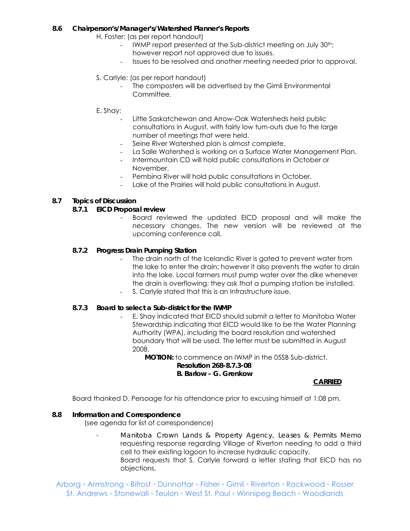## **8.6 Chairperson's/Manager's/Watershed Planner's Reports**

H. Foster: (as per report handout)

- IWMP report presented at the Sub-district meeting on July 30<sup>th</sup>; however report not approved due to issues.
- Issues to be resolved and another meeting needed prior to approval.

## S. Carlyle: (as per report handout)

- The composters will be advertised by the Gimli Environmental Committee.
- E. Shay:
	- Little Saskatchewan and Arrow-Oak Watersheds held public consultations in August, with fairly low turn-outs due to the large number of meetings that were held.
	- Seine River Watershed plan is almost complete.
	- La Salle Watershed is working on a Surface Water Management Plan.
	- Intermountain CD will hold public consultations in October or November.
	- Pembina River will hold public consultations in October.
	- Lake of the Prairies will hold public consultations in August.

## **8.7 Topics of Discussion**

## *8.7.1 EICD Proposal review*

Board reviewed the updated EICD proposal and will make the necessary changes. The new version will be reviewed at the upcoming conference call.

## *8.7.2 Progress Drain Pumping Station*

- The drain north of the Icelandic River is gated to prevent water from the lake to enter the drain; however it also prevents the water to drain into the lake. Local farmers must pump water over the dike whenever the drain is overflowing; they ask that a pumping station be installed.
- S. Carlyle stated that this is an Infrastructure issue.

## *8.7.3 Board to select a Sub-district for the IWMP*

E. Shay indicated that EICD should submit a letter to Manitoba Water Stewardship indicating that EICD would like to be the Water Planning Authority (WPA), including the board resolution and watershed boundary that will be used. The letter must be submitted in August 2008.

**MOTION:** to commence an IWMP in the 05SB Sub-district.

#### **Resolution 268-8.7.3-08 B. Barlow – G. Grenkow**

## **CARRIED**

Board thanked D. Persoage for his attendance prior to excusing himself at 1:08 pm.

## **8.8 Information and Correspondence**

(see agenda for list of correspondence)

- *Manitoba Crown Lands & Property Agency, Leases & Permits Memo* requesting response regarding Village of Riverton needing to add a third cell to their existing lagoon to increase hydraulic capacity. Board requests that S. Carlyle forward a letter stating that EICD has no objections.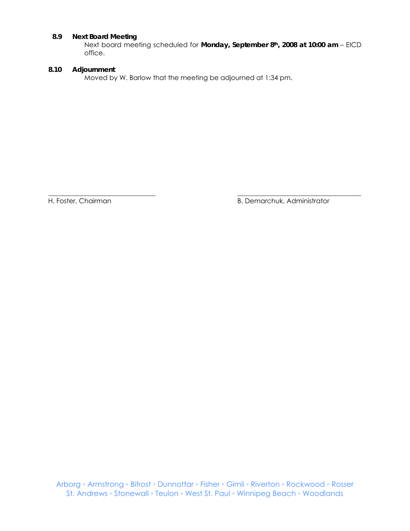## **8.9 Next Board Meeting**

Next board meeting scheduled for **Monday, September 8th, 2008 at 10:00 am** – EICD office.

#### **8.10 Adjournment**

Moved by W. Barlow that the meeting be adjourned at 1:34 pm.

\_\_\_\_\_\_\_\_\_\_\_\_\_\_\_\_\_\_\_\_\_\_\_\_\_\_\_\_\_\_\_\_ \_\_\_\_\_\_\_\_\_\_\_\_\_\_\_\_\_\_\_\_\_\_\_\_\_\_\_\_\_\_\_\_\_\_\_\_\_ H. Foster, Chairman B. Demarchuk, Administrator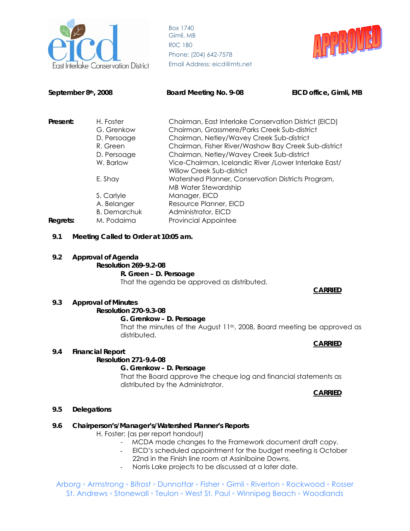

Box 1740 Gimli, MB R0C 1B0 Phone: (204) 642-7578 **Conservation District** Email Address: eicd@mts.net



**September 8th, 2008 Board Meeting No. 9-08 EICD office, Gimli, MB** 

| Present: | H. Foster           | Chairman, East Interlake Conservation District (EICD) |
|----------|---------------------|-------------------------------------------------------|
|          | G. Grenkow          | Chairman, Grassmere/Parks Creek Sub-district          |
|          | D. Persoage         | Chairman, Netley/Wavey Creek Sub-district             |
|          | R. Green            | Chairman, Fisher River/Washow Bay Creek Sub-district  |
|          | D. Persoage         | Chairman, Netley/Wavey Creek Sub-district             |
|          | W. Barlow           | Vice-Chairman, Icelandic River /Lower Interlake East/ |
|          |                     | <b>Willow Creek Sub-district</b>                      |
|          | E. Shay             | Watershed Planner, Conservation Districts Program,    |
|          |                     | <b>MB Water Stewardship</b>                           |
|          | S. Carlyle          | Manager, EICD                                         |
|          | A. Belanger         | Resource Planner, EICD                                |
|          | <b>B.</b> Demarchuk | Administrator, EICD                                   |
| Regrets: | M. Podaima          | <b>Provincial Appointee</b>                           |
|          |                     |                                                       |

## **9.1 Meeting Called to Order at 10:05 am.**

**9.2 Approval of Agenda** 

**Resolution 269-9.2-08 R. Green – D. Persoage** 

That the agenda be approved as distributed.

#### **CARRIED**

## **9.3 Approval of Minutes**

**Resolution 270-9.3-08** 

## **G. Grenkow – D. Persoage**

That the minutes of the August 11<sup>th</sup>, 2008, Board meeting be approved as distributed.

#### **9.4 Financial Report**

## **Resolution 271-9.4-08**

#### **G. Grenkow – D. Persoage**

That the Board approve the cheque log and financial statements as distributed by the Administrator.

**CARRIED**

**CARRIED**

## **9.5 Delegations**

## **9.6 Chairperson's/Manager's/Watershed Planner's Reports**

H. Foster: (as per report handout)

- MCDA made changes to the Framework document draft copy.
- EICD's scheduled appointment for the budget meeting is October 22nd in the Finish line room at Assiniboine Downs.
- Norris Lake projects to be discussed at a later date.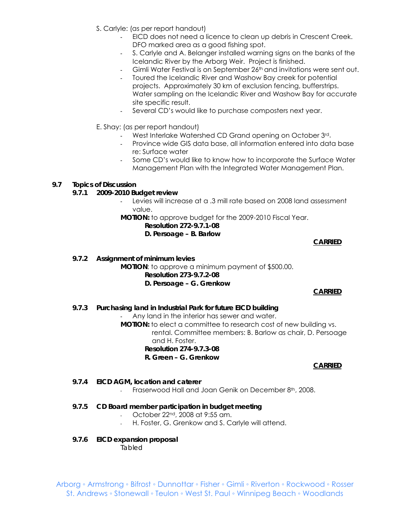- S. Carlyle: (as per report handout)
	- EICD does not need a licence to clean up debris in Crescent Creek. DFO marked area as a good fishing spot.
	- S. Carlyle and A. Belanger installed warning signs on the banks of the Icelandic River by the Arborg Weir. Project is finished.
	- Gimli Water Festival is on September 26<sup>th</sup> and invitations were sent out.
	- Toured the Icelandic River and Washow Bay creek for potential projects. Approximately 30 km of exclusion fencing, bufferstrips. Water sampling on the Icelandic River and Washow Bay for accurate site specific result.
	- Several CD's would like to purchase composters next year.
- E. Shay: (as per report handout)
	- West Interlake Watershed CD Grand opening on October 3rd.
	- Province wide GIS data base, all information entered into data base re: Surface water
	- Some CD's would like to know how to incorporate the Surface Water Management Plan with the Integrated Water Management Plan.

#### **9.7 Topics of Discussion**

#### **9.7.1** *2009-2010 Budget review*

- Levies will increase at a .3 mill rate based on 2008 land assessment value.

**MOTION:** to approve budget for the 2009-2010 Fiscal Year.

## **Resolution 272-9.7.1-08 D. Persoage – B. Barlow**

**CARRIED**

**9.7.2** *Assignment of minimum levies*  **MOTION**: to approve a minimum payment of \$500.00. **Resolution 273-9.7.2-08 D. Persoage – G. Grenkow** 

#### **CARRIED**

**9.7.3** *Purchasing land in Industrial Park for future EICD building* 

Any land in the interior has sewer and water. **MOTION:** to elect a committee to research cost of new building vs. rental. Committee members: B. Barlow as chair, D. Persoage and H. Foster. **Resolution 274-9.7.3-08 R. Green – G. Grenkow** 

#### **CARRIED**

#### **9.7.4** *EICD AGM, location and caterer*

- Fraserwood Hall and Joan Genik on December 8th, 2008.

#### **9.7.5** *CD Board member participation in budget meeting*

- October 22nd, 2008 at 9:55 am.
- H. Foster, G. Grenkow and S. Carlyle will attend.

## **9.7.6** *EICD expansion proposal*

*Tabled*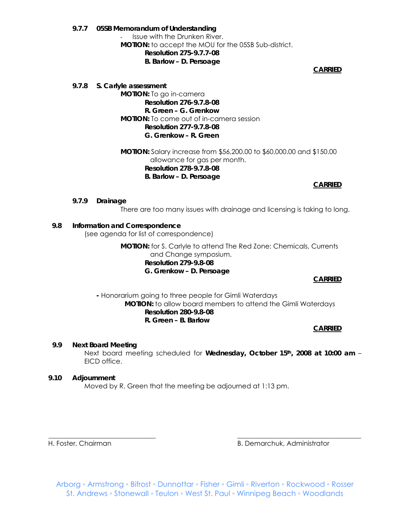**9.7.7** *05SB Memorandum of Understanding*  Issue with the Drunken River. **MOTION:** to accept the MOU for the 05SB Sub-district. **Resolution 275-9.7.7-08 B. Barlow – D. Persoage** 

**CARRIED**

**9.7.8** *S. Carlyle assessment*  **MOTION:** To go in-camera **Resolution 276-9.7.8-08 R. Green – G. Grenkow MOTION:** To come out of in-camera session **Resolution 277-9.7.8-08 G. Grenkow – R. Green** 

> *MOTION:* Salary increase from \$56,200.00 to \$60,000.00 and \$150.00 allowance for gas per month. **Resolution 278-9.7.8-08 B. Barlow – D. Persoage**

**CARRIED**

**9.7.9 Drainage** 

There are too many issues with drainage and licensing is taking to long.

#### **9.8 Information and Correspondence**

(see agenda for list of correspondence)

**MOTION:** for S. Carlyle to attend The Red Zone: Chemicals, Currents and Change symposium. **Resolution 279-9.8-08 G. Grenkow – D. Persoage** 

**CARRIED**

**-** Honorarium going to three people for Gimli Waterdays **MOTION:** to allow board members to attend the Gimli Waterdays **Resolution 280-9.8-08 R. Green – B. Barlow** 

**CARRIED**

#### **9.9 Next Board Meeting**

Next board meeting scheduled for **Wednesday, October 15th, 2008 at 10:00 am** – EICD office.

#### **9.10 Adjournment**

Moved by R. Green that the meeting be adjourned at 1:13 pm.

H. Foster, Chairman B. Demarchuk, Administrator

Arborg ◦ Armstrong ◦ Bifrost ◦ Dunnottar ◦ Fisher ◦ Gimli ◦ Riverton ◦ Rockwood ◦ Rosser St. Andrews ◦ Stonewall ◦ Teulon ◦ West St. Paul ◦ Winnipeg Beach ◦ Woodlands

\_\_\_\_\_\_\_\_\_\_\_\_\_\_\_\_\_\_\_\_\_\_\_\_\_\_\_\_\_\_\_\_ \_\_\_\_\_\_\_\_\_\_\_\_\_\_\_\_\_\_\_\_\_\_\_\_\_\_\_\_\_\_\_\_\_\_\_\_\_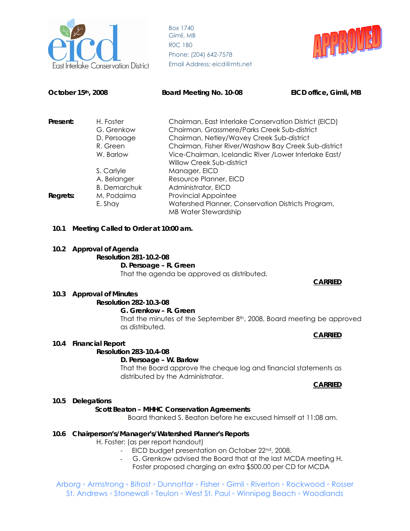



| October 15th, 2008  |                                      | Board Meeting No. 10-08                                                                           | EICD office, Gimli, MB |  |
|---------------------|--------------------------------------|---------------------------------------------------------------------------------------------------|------------------------|--|
| Present:            | H. Foster                            | Chairman, East Interlake Conservation District (EICD)                                             |                        |  |
|                     | G. Grenkow                           | Chairman, Grassmere/Parks Creek Sub-district                                                      |                        |  |
|                     | D. Persoage                          | Chairman, Netley/Wavey Creek Sub-district<br>Chairman, Fisher River/Washow Bay Creek Sub-district |                        |  |
|                     | R. Green                             |                                                                                                   |                        |  |
|                     | W. Barlow                            | Vice-Chairman, Icelandic River / Lower Interlake East/<br><b>Willow Creek Sub-district</b>        |                        |  |
|                     | S. Carlyle                           | Manager, EICD                                                                                     |                        |  |
|                     | A. Belanger                          | Resource Planner, EICD                                                                            |                        |  |
| <b>B.</b> Demarchuk |                                      | Administrator, EICD                                                                               |                        |  |
| Regrets:            | M. Podaima                           | <b>Provincial Appointee</b>                                                                       |                        |  |
|                     | E. Shay                              | Watershed Planner, Conservation Districts Program,<br><b>MB Water Stewardship</b>                 |                        |  |
| 10.1                | Meeting Called to Order at 10:00 am. |                                                                                                   |                        |  |

**10.2 Approval of Agenda** 

**Resolution 281-10.2-08 D. Persoage – R. Green**  That the agenda be approved as distributed.

**CARRIED**

#### **10.3 Approval of Minutes**

## **Resolution 282-10.3-08**

#### **G. Grenkow – R. Green**

That the minutes of the September 8<sup>th</sup>, 2008, Board meeting be approved as distributed.

# **CARRIED**

# **10.4 Financial Report**

**Resolution 283-10.4-08** 

#### **D. Persoage – W. Barlow**

That the Board approve the cheque log and financial statements as distributed by the Administrator.

**CARRIED**

#### **10.5 Delegations**

## **Scott Beaton – MHHC Conservation Agreements**

- Board thanked S. Beaton before he excused himself at 11:08 am.

#### **10.6 Chairperson's/Manager's/Watershed Planner's Reports**

H. Foster: (as per report handout)

- EICD budget presentation on October 22<sup>nd</sup>, 2008.
- G. Grenkow advised the Board that at the last MCDA meeting H. Foster proposed charging an extra \$500.00 per CD for MCDA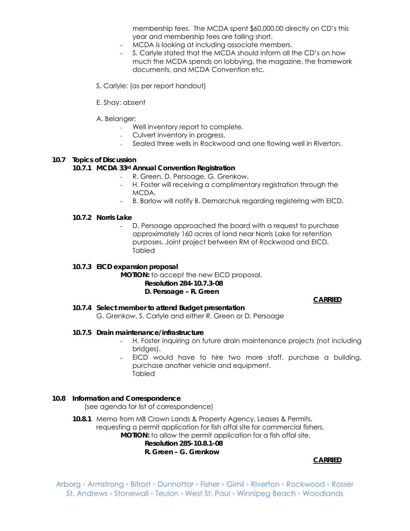membership fees. The MCDA spent \$60,000.00 directly on CD's this year and membership fees are falling short.

- MCDA is looking at including associate members.
- S. Carlyle stated that the MCDA should inform all the CD's on how much the MCDA spends on lobbying, the magazine, the framework documents, and MCDA Convention etc.
- S. Carlyle: (as per report handout)
- E. Shay: absent

#### A. Belanger:

- Well inventory report to complete.
- Culvert inventory in progress.
- Sealed three wells in Rockwood and one flowing well in Riverton.

## **10.7 Topics of Discussion**

#### **10.7.1** *MCDA 33rd Annual Convention Registration*

- R. Green, D. Persoage, G. Grenkow,
- H. Foster will receiving a complimentary registration through the MCDA.
- B. Barlow will notify B. Demarchuk regarding registering with EICD.

#### **10.7.2** *Norris Lake*

D. Persoage approached the board with a request to purchase approximately 160 acres of land near Norris Lake for retention purposes. Joint project between RM of Rockwood and EICD. Tabled

#### **10.7.3** *EICD expansion proposal*

#### **MOTION:** to accept the new EICD proposal. **Resolution 284-10.7.3-08 D. Persoage – R. Green**

## **CARRIED**

**10.7.4** *Select member to attend Budget presentation*  G. Grenkow, S. Carlyle and either R. Green or D. Persoage

#### **10.7.5** *Drain maintenance/infrastructure*

- H. Foster inquiring on future drain maintenance projects (not including bridges).
- EICD would have to hire two more staff, purchase a building, purchase another vehicle and equipment. **Tabled**

## **10.8 Information and Correspondence**

(see agenda for list of correspondence)

**10.8.1** Memo from MB Crown Lands & Property Agency, Leases & Permits, requesting a permit application for fish offal site for commercial fishers. **MOTION:** to allow the permit application for a fish offal site.  **Resolution 285-10.8.1-08 R. Green – G. Grenkow** 

## *CARRIED*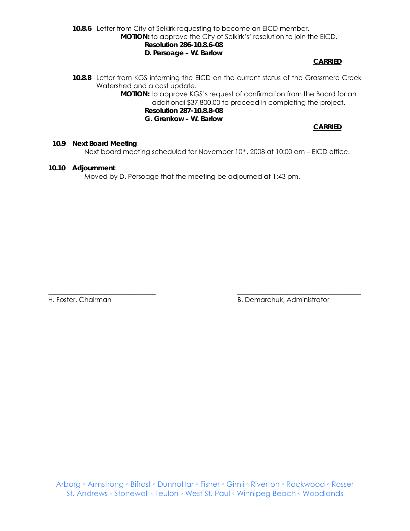**10.8.6** Letter from City of Selkirk requesting to become an EICD member. **MOTION:** to approve the City of Selkirk's' resolution to join the EICD.  **Resolution 286-10.8.6-08 D. Persoage – W. Barlow** 

*CARRIED* 

**10.8.8** Letter from KGS informing the EICD on the current status of the Grassmere Creek Watershed and a cost update.

> **MOTION:** to approve KGS's request of confirmation from the Board for an additional \$37,800.00 to proceed in completing the project.  **Resolution 287-10.8.8-08**

**G. Grenkow – W. Barlow** 

 **CARRIED**

**10.9 Next Board Meeting** 

Next board meeting scheduled for November 10<sup>th</sup>, 2008 at 10:00 am - EICD office.

#### **10.10 Adjournment**

Moved by D. Persoage that the meeting be adjourned at 1:43 pm.

\_\_\_\_\_\_\_\_\_\_\_\_\_\_\_\_\_\_\_\_\_\_\_\_\_\_\_\_\_\_\_\_ \_\_\_\_\_\_\_\_\_\_\_\_\_\_\_\_\_\_\_\_\_\_\_\_\_\_\_\_\_\_\_\_\_\_\_\_\_

H. Foster, Chairman B. Demarchuk, Administrator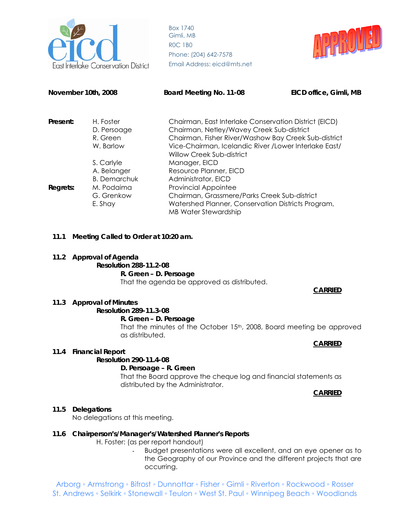

Box 1740 Gimli, MB R0C 1B0 Phone: (204) 642-7578 *ake Conservation District* Email Address: eicd@mts.net



| November 10th, 2008 |                         | Board Meeting No. 11-08                                                                           | EICD office, Gimli, MB |
|---------------------|-------------------------|---------------------------------------------------------------------------------------------------|------------------------|
| Present:            | H. Foster               | Chairman, East Interlake Conservation District (EICD)                                             |                        |
|                     | D. Persoage<br>R. Green | Chairman, Netley/Wavey Creek Sub-district<br>Chairman, Fisher River/Washow Bay Creek Sub-district |                        |
|                     | W. Barlow               | Vice-Chairman, Icelandic River / Lower Interlake East/<br>Willow Creek Sub-district               |                        |
|                     | S. Carlyle              | Manager, EICD                                                                                     |                        |
|                     | A. Belanger             | Resource Planner, EICD                                                                            |                        |
| <b>B.</b> Demarchuk |                         | Administrator, EICD                                                                               |                        |
| Regrets:            | M. Podaima              | <b>Provincial Appointee</b>                                                                       |                        |
|                     | G. Grenkow              | Chairman, Grassmere/Parks Creek Sub-district                                                      |                        |
|                     | E. Shay                 | Watershed Planner, Conservation Districts Program,<br><b>MB Water Stewardship</b>                 |                        |

#### **11.1 Meeting Called to Order at 10:20 am.**

#### **11.2 Approval of Agenda**

**Resolution 288-11.2-08 R. Green – D. Persoage**  That the agenda be approved as distributed.

#### **CARRIED**

#### **11.3 Approval of Minutes**

# **Resolution 289-11.3-08**

**R. Green – D. Persoage** 

That the minutes of the October 15th, 2008, Board meeting be approved as distributed.

#### **CARRIED**

#### **11.4 Financial Report**

#### **Resolution 290-11.4-08**

#### **D. Persoage – R. Green**

That the Board approve the cheque log and financial statements as distributed by the Administrator.

**CARRIED**

#### **11.5 Delegations**

No delegations at this meeting.

#### **11.6 Chairperson's/Manager's/Watershed Planner's Reports**

H. Foster: (as per report handout)

- Budget presentations were all excellent, and an eye opener as to the Geography of our Province and the different projects that are occurring.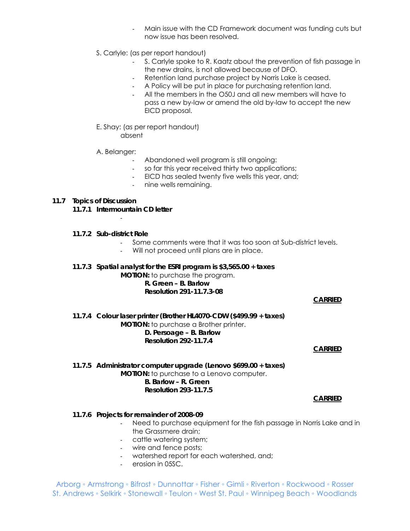- Main issue with the CD Framework document was funding cuts but now issue has been resolved.
- S. Carlyle: (as per report handout)
	- S. Carlyle spoke to R. Kaatz about the prevention of fish passage in the new drains, is not allowed because of DFO.
	- Retention land purchase project by Norris Lake is ceased.
	- A Policy will be put in place for purchasing retention land.
	- All the members in the O50J and all new members will have to pass a new by-law or amend the old by-law to accept the new EICD proposal.
- E. Shay: (as per report handout) absent

A. Belanger:

- Abandoned well program is still ongoing:
- so far this year received thirty two applications;
- EICD has sealed twenty five wells this year, and;
- nine wells remaining.

#### **11.7 Topics of Discussion**

- **11.7.1** *Intermountain CD letter*  -
- **11.7.2** *Sub-district Role* 
	- Some comments were that it was too soon at Sub-district levels.
		- Will not proceed until plans are in place.
- **11.7.3** *Spatial analyst for the ESRI program is \$3,565.00 + taxes*

**MOTION:** to purchase the program.  **R. Green – B. Barlow Resolution 291-11.7.3-08** 

#### **CARRIED**

## **11.7.4** *Colour laser printer (Brother HL4070-CDW (\$499.99 + taxes)*  **MOTION:** to purchase a Brother printer.  **D. Persoage – B. Barlow Resolution 292-11.7.4**

#### **CARRIED**

#### **11.7.5** *Administrator computer upgrade (Lenovo \$699.00 + taxes)*  **MOTION:** to purchase to a Lenovo computer.  **B. Barlow – R. Green Resolution 293-11.7.5**

#### **CARRIED**

#### **11.7.6** *Projects for remainder of 2008-09*

- Need to purchase equipment for the fish passage in Norris Lake and in the Grassmere drain;
- cattle watering system;
- wire and fence posts;
- watershed report for each watershed, and;
- erosion in 05SC.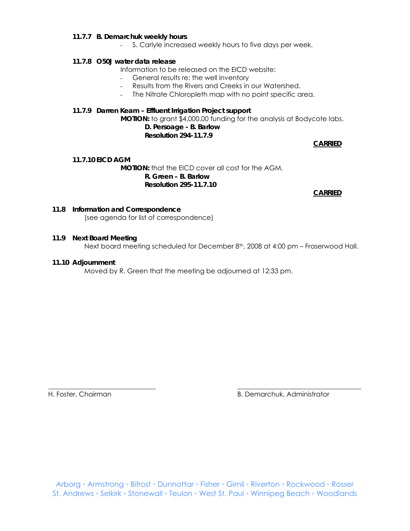#### **11.7.7** *B. Demarchuk weekly hours*

- S. Carlyle increased weekly hours to five days per week.

#### **11.7.8** *O50J water data release*

Information to be released on the EICD website:

- General results re: the well inventory
- Results from the Rivers and Creeks in our Watershed.
- The Nitrate Chloropleth map with no point specific area.

#### **11.7.9** *Darren Keam – Effluent Irrigation Project support*

**MOTION:** to grant \$4,000.00 funding for the analysis at Bodycote labs. **D. Persoage - B. Barlow Resolution 294-11.7.9** 

#### **CARRIED**

#### **11.7.10** *EICD AGM*

 *MOTION:* that the EICD cover all cost for the AGM.  **R. Green – B. Barlow Resolution 295-11.7.10** 

**CARRIED**

#### **11.8 Information and Correspondence**

(see agenda for list of correspondence)

#### **11.9 Next Board Meeting**

Next board meeting scheduled for December 8<sup>th</sup>, 2008 at 4:00 pm – Fraserwood Hall.

#### **11.10 Adjournment**

Moved by R. Green that the meeting be adjourned at 12:33 pm.

H. Foster, Chairman B. Demarchuk, Administrator

\_\_\_\_\_\_\_\_\_\_\_\_\_\_\_\_\_\_\_\_\_\_\_\_\_\_\_\_\_\_\_\_ \_\_\_\_\_\_\_\_\_\_\_\_\_\_\_\_\_\_\_\_\_\_\_\_\_\_\_\_\_\_\_\_\_\_\_\_\_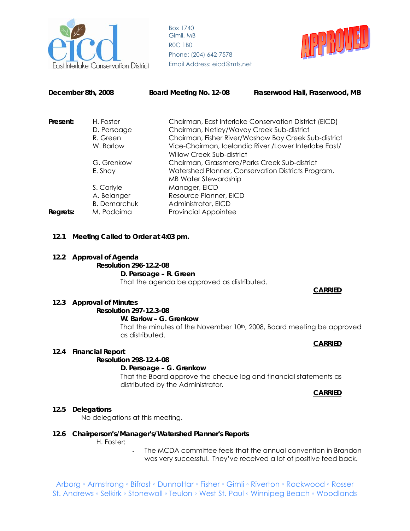



| December 8th, 2008 |                                    | Board Meeting No. 12-08                                                             | Fraserwood Hall, Fraserwood, MB                                                                   |  |  |
|--------------------|------------------------------------|-------------------------------------------------------------------------------------|---------------------------------------------------------------------------------------------------|--|--|
| Present:           | H. Foster<br>D. Persoage           |                                                                                     | Chairman, East Interlake Conservation District (EICD)                                             |  |  |
|                    | R. Green                           |                                                                                     | Chairman, Netley/Wavey Creek Sub-district<br>Chairman, Fisher River/Washow Bay Creek Sub-district |  |  |
|                    | W. Barlow                          | Vice-Chairman, Icelandic River / Lower Interlake East/<br>Willow Creek Sub-district |                                                                                                   |  |  |
|                    | G. Grenkow                         | Chairman, Grassmere/Parks Creek Sub-district                                        |                                                                                                   |  |  |
|                    | E. Shav                            | Watershed Planner, Conservation Districts Program,<br><b>MB Water Stewardship</b>   |                                                                                                   |  |  |
| S. Carlyle         |                                    | Manager, EICD                                                                       |                                                                                                   |  |  |
|                    | A. Belanger<br><b>B.</b> Demarchuk | Resource Planner, EICD<br>Administrator, EICD                                       |                                                                                                   |  |  |
| Regrets:           | M. Podaima                         | <b>Provincial Appointee</b>                                                         |                                                                                                   |  |  |

**12.1 Meeting Called to Order at 4:03 pm.** 

#### **12.2 Approval of Agenda**

**Resolution 296-12.2-08 D. Persoage – R. Green**  That the agenda be approved as distributed.

#### **CARRIED**

#### **12.3 Approval of Minutes**

# **Resolution 297-12.3-08**

**W. Barlow – G. Grenkow** 

That the minutes of the November 10<sup>th</sup>, 2008, Board meeting be approved as distributed.

## **CARRIED**

#### **12.4 Financial Report**

#### **Resolution 298-12.4-08**

#### **D. Persoage – G. Grenkow**

That the Board approve the cheque log and financial statements as distributed by the Administrator.

**CARRIED**

#### **12.5 Delegations**

No delegations at this meeting.

#### **12.6 Chairperson's/Manager's/Watershed Planner's Reports**

H. Foster:

The MCDA committee feels that the annual convention in Brandon was very successful. They've received a lot of positive feed back.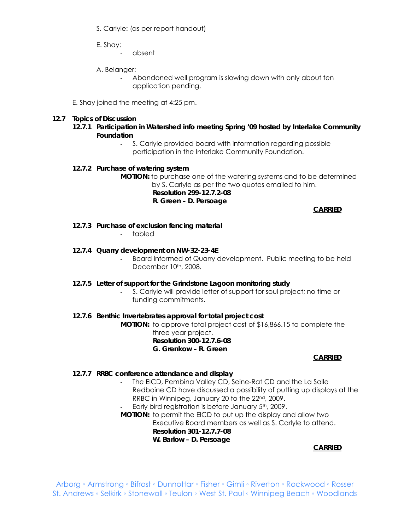S. Carlyle: (as per report handout)

E. Shay:

- absent

A. Belanger:

Abandoned well program is slowing down with only about ten application pending.

E. Shay joined the meeting at 4:25 pm.

## **12.7 Topics of Discussion**

- **12.7.1** *Participation in Watershed info meeting Spring '09 hosted by Interlake Community Foundation* 
	- S. Carlyle provided board with information regarding possible participation in the Interlake Community Foundation.

## **12.7.2** *Purchase of watering system*

**MOTION:** to purchase one of the watering systems and to be determined by S. Carlyle as per the two quotes emailed to him.  **Resolution 299-12.7.2-08 R. Green – D. Persoage** 

**CARRIED**

**12.7.3** *Purchase of exclusion fencing material* 

- tabled

- **12.7.4** *Quarry development on NW-32-23-4E* 
	- Board informed of Quarry development. Public meeting to be held December 10th, 2008.
- **12.7.5** *Letter of support for the Grindstone Lagoon monitoring study* 
	- S. Carlyle will provide letter of support for soul project; no time or funding commitments.

## **12.7.6** *Benthic Invertebrates approval for total project cost*

**MOTION:** to approve total project cost of \$16,866.15 to complete the three year project. **Resolution 300-12.7.6-08 G. Grenkow – R. Green** 

## **CARRIED**

## **12.7.7** *RRBC conference attendance and display*

- The EICD, Pembina Valley CD, Seine-Rat CD and the La Salle Redboine CD have discussed a possibility of putting up displays at the RRBC in Winnipeg, January 20 to the 22nd, 2009.
- Early bird registration is before January 5<sup>th</sup>, 2009.

**MOTION:** to permit the EICD to put up the display and allow two Executive Board members as well as S. Carlyle to attend.  **Resolution 301-12.7.7-08 W. Barlow – D. Persoage** 

**CARRIED**